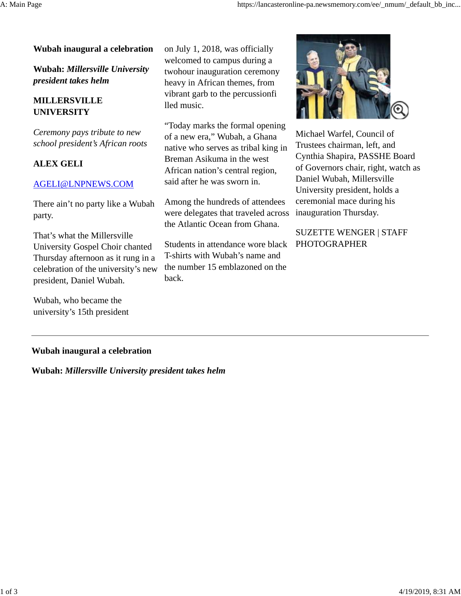#### **Wubah inaugural a celebration**

**Wubah:** *Millersville University president takes helm*

# **MILLERSVILLE UNIVERSITY**

*Ceremony pays tribute to new school president's African roots*

## **ALEX GELI**

#### AGELI@LNPNEWS.COM

There ain't no party like a Wubah party.

That's what the Millersville University Gospel Choir chanted Thursday afternoon as it rung in a celebration of the university's new president, Daniel Wubah.

Wubah, who became the university's 15th president on July 1, 2018, was officially welcomed to campus during a twohour inauguration ceremony heavy in African themes, from vibrant garb to the percussionfi lled music.

"Today marks the formal opening of a new era," Wubah, a Ghana native who serves as tribal king in Breman Asikuma in the west African nation's central region, said after he was sworn in.

Among the hundreds of attendees were delegates that traveled across the Atlantic Ocean from Ghana.

Students in attendance wore black T-shirts with Wubah's name and the number 15 emblazoned on the back.



Michael Warfel, Council of Trustees chairman, left, and Cynthia Shapira, PASSHE Board of Governors chair, right, watch as Daniel Wubah, Millersville University president, holds a ceremonial mace during his inauguration Thursday.

SUZETTE WENGER | STAFF PHOTOGRAPHER

### **Wubah inaugural a celebration**

**Wubah:** *Millersville University president takes helm*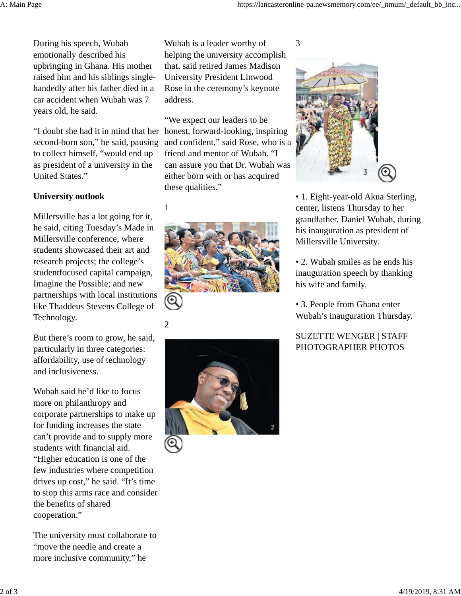During his speech, Wubah emotionally described his upbringing in Ghana. His mother raised him and his siblings singlehandedly after his father died in a car accident when Wubah was 7 years old, he said.

"I doubt she had it in mind that her second-born son," he said, pausing to collect himself, "would end up as president of a university in the United States."

### **University outlook**

Millersville has a lot going for it, he said, citing Tuesday's Made in Millersville conference, where students showcased their art and research projects; the college's studentfocused capital campaign, Imagine the Possible; and new partnerships with local institutions like Thaddeus Stevens College of Technology.

But there's room to grow, he said, particularly in three categories: affordability, use of technology and inclusiveness.

Wubah said he'd like to focus more on philanthropy and corporate partnerships to make up for funding increases the state can't provide and to supply more students with financial aid. "Higher education is one of the few industries where competition drives up cost," he said. "It's time to stop this arms race and consider the benefits of shared cooperation."

The university must collaborate to "move the needle and create a more inclusive community," he

Wubah is a leader worthy of helping the university accomplish that, said retired James Madison University President Linwood Rose in the ceremony's keynote address.

"We expect our leaders to be honest, forward-looking, inspiring and confident," said Rose, who is a friend and mentor of Wubah. "I can assure you that Dr. Wubah was either born with or has acquired these qualities."

# 1











• 1. Eight-year-old Akua Sterling, center, listens Thursday to her grandfather, Daniel Wubah, during his inauguration as president of Millersville University.

• 2. Wubah smiles as he ends his inauguration speech by thanking his wife and family.

• 3. People from Ghana enter Wubah's inauguration Thursday.

# SUZETTE WENGER | STAFF PHOTOGRAPHER PHOTOS